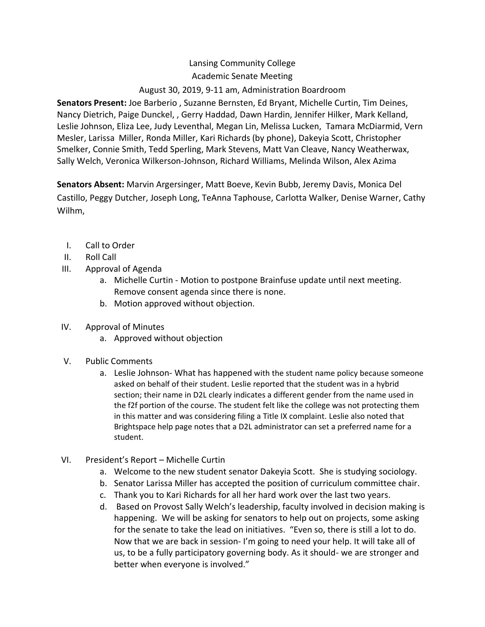## Lansing Community College Academic Senate Meeting August 30, 2019, 9-11 am, Administration Boardroom

**Senators Present:** Joe Barberio , Suzanne Bernsten, Ed Bryant, Michelle Curtin, Tim Deines, Nancy Dietrich, Paige Dunckel, , Gerry Haddad, Dawn Hardin, Jennifer Hilker, Mark Kelland, Leslie Johnson, Eliza Lee, Judy Leventhal, Megan Lin, Melissa Lucken, Tamara McDiarmid, Vern Mesler, Larissa Miller, Ronda Miller, Kari Richards (by phone), Dakeyia Scott, Christopher Smelker, Connie Smith, Tedd Sperling, Mark Stevens, Matt Van Cleave, Nancy Weatherwax, Sally Welch, Veronica Wilkerson-Johnson, Richard Williams, Melinda Wilson, Alex Azima

**Senators Absent:** Marvin Argersinger, Matt Boeve, Kevin Bubb, Jeremy Davis, Monica Del Castillo, Peggy Dutcher, Joseph Long, TeAnna Taphouse, Carlotta Walker, Denise Warner, Cathy Wilhm,

- I. Call to Order
- II. Roll Call
- III. Approval of Agenda
	- a. Michelle Curtin Motion to postpone Brainfuse update until next meeting. Remove consent agenda since there is none.
	- b. Motion approved without objection.
- IV. Approval of Minutes
	- a. Approved without objection
- V. Public Comments
	- a. Leslie Johnson- What has happened with the student name policy because someone asked on behalf of their student. Leslie reported that the student was in a hybrid section; their name in D2L clearly indicates a different gender from the name used in the f2f portion of the course. The student felt like the college was not protecting them in this matter and was considering filing a Title IX complaint. Leslie also noted that Brightspace help page notes that a D2L administrator can set a preferred name for a student.
- VI. President's Report Michelle Curtin
	- a. Welcome to the new student senator Dakeyia Scott. She is studying sociology.
	- b. Senator Larissa Miller has accepted the position of curriculum committee chair.
	- c. Thank you to Kari Richards for all her hard work over the last two years.
	- d. Based on Provost Sally Welch's leadership, faculty involved in decision making is happening. We will be asking for senators to help out on projects, some asking for the senate to take the lead on initiatives. "Even so, there is still a lot to do. Now that we are back in session- I'm going to need your help. It will take all of us, to be a fully participatory governing body. As it should- we are stronger and better when everyone is involved."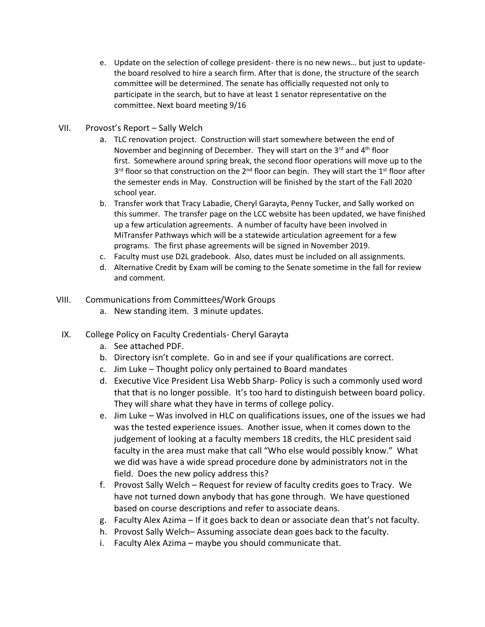- e. Update on the selection of college president- there is no new news… but just to updatethe board resolved to hire a search firm. After that is done, the structure of the search committee will be determined. The senate has officially requested not only to participate in the search, but to have at least 1 senator representative on the committee. Next board meeting 9/16
- VII. Provost's Report Sally Welch
	- a. TLC renovation project. Construction will start somewhere between the end of November and beginning of December. They will start on the  $3<sup>rd</sup>$  and  $4<sup>th</sup>$  floor first. Somewhere around spring break, the second floor operations will move up to the 3<sup>rd</sup> floor so that construction on the 2<sup>nd</sup> floor can begin. They will start the 1<sup>st</sup> floor after the semester ends in May. Construction will be finished by the start of the Fall 2020 school year.
	- b. Transfer work that Tracy Labadie, Cheryl Garayta, Penny Tucker, and Sally worked on this summer. The transfer page on the LCC website has been updated, we have finished up a few articulation agreements. A number of faculty have been involved in MiTransfer Pathways which will be a statewide articulation agreement for a few programs. The first phase agreements will be signed in November 2019.
	- c. Faculty must use D2L gradebook. Also, dates must be included on all assignments.
	- d. Alternative Credit by Exam will be coming to the Senate sometime in the fall for review and comment.
- VIII. Communications from Committees/Work Groups
	- a. New standing item. 3 minute updates.
- IX. College Policy on Faculty Credentials- Cheryl Garayta
	- a. See attached PDF.
	- b. Directory isn't complete. Go in and see if your qualifications are correct.
	- c. Jim Luke Thought policy only pertained to Board mandates
	- d. Executive Vice President Lisa Webb Sharp- Policy is such a commonly used word that that is no longer possible. It's too hard to distinguish between board policy. They will share what they have in terms of college policy.
	- e. Jim Luke Was involved in HLC on qualifications issues, one of the issues we had was the tested experience issues. Another issue, when it comes down to the judgement of looking at a faculty members 18 credits, the HLC president said faculty in the area must make that call "Who else would possibly know." What we did was have a wide spread procedure done by administrators not in the field. Does the new policy address this?
	- f. Provost Sally Welch Request for review of faculty credits goes to Tracy. We have not turned down anybody that has gone through. We have questioned based on course descriptions and refer to associate deans.
	- g. Faculty Alex Azima If it goes back to dean or associate dean that's not faculty.
	- h. Provost Sally Welch– Assuming associate dean goes back to the faculty.
	- i. Faculty Alex Azima maybe you should communicate that.